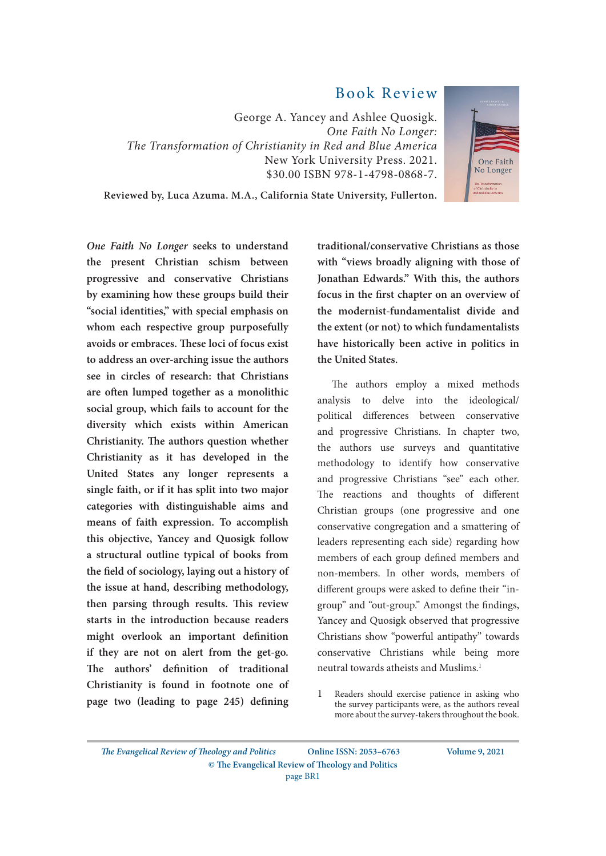## Book Review

George A. Yancey and Ashlee Quosigk. *One Faith No Longer: The Transformation of Christianity in Red and Blue America* New York University Press. 2021. \$30.00 ISBN 978-1-4798-0868-7.



**Reviewed by, Luca Azuma. M.A., California State University, Fullerton.**

*One Faith No Longer* **seeks to understand the present Christian schism between progressive and conservative Christians by examining how these groups build their "social identities," with special emphasis on whom each respective group purposefully avoids or embraces. These loci of focus exist to address an over-arching issue the authors see in circles of research: that Christians are often lumped together as a monolithic social group, which fails to account for the diversity which exists within American Christianity. The authors question whether Christianity as it has developed in the United States any longer represents a single faith, or if it has split into two major categories with distinguishable aims and means of faith expression. To accomplish this objective, Yancey and Quosigk follow a structural outline typical of books from the field of sociology, laying out a history of the issue at hand, describing methodology, then parsing through results. This review starts in the introduction because readers might overlook an important definition if they are not on alert from the get-go. The authors' definition of traditional Christianity is found in footnote one of page two (leading to page 245) defining**  **traditional/conservative Christians as those with "views broadly aligning with those of Jonathan Edwards." With this, the authors focus in the first chapter on an overview of the modernist-fundamentalist divide and the extent (or not) to which fundamentalists have historically been active in politics in the United States.**

The authors employ a mixed methods analysis to delve into the ideological/ political differences between conservative and progressive Christians. In chapter two, the authors use surveys and quantitative methodology to identify how conservative and progressive Christians "see" each other. The reactions and thoughts of different Christian groups (one progressive and one conservative congregation and a smattering of leaders representing each side) regarding how members of each group defined members and non-members. In other words, members of different groups were asked to define their "ingroup" and "out-group." Amongst the findings, Yancey and Quosigk observed that progressive Christians show "powerful antipathy" towards conservative Christians while being more neutral towards atheists and Muslims.1

*The Evangelical Review of Theology and Politics* **© The Evangelical Review of Theology and Politics Online ISSN: 2053–6763 Volume 9, 2021** page BR1

<sup>1</sup> Readers should exercise patience in asking who the survey participants were, as the authors reveal more about the survey-takers throughout the book.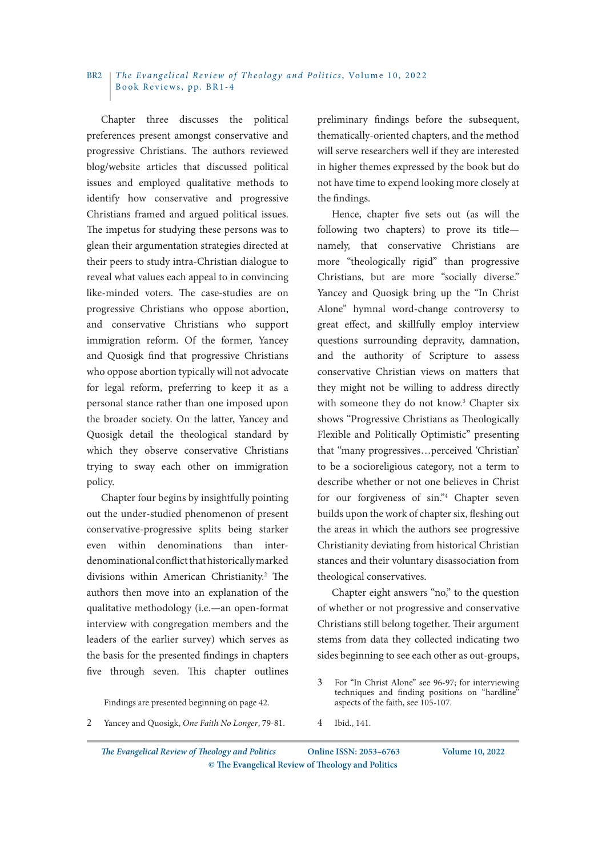## *The Evangelical Review of Theology and Politics*, Volume 10, 2022 Book Reviews, pp. BR1-4 RR<sub>2</sub>

Chapter three discusses the political preferences present amongst conservative and progressive Christians. The authors reviewed blog/website articles that discussed political issues and employed qualitative methods to identify how conservative and progressive Christians framed and argued political issues. The impetus for studying these persons was to glean their argumentation strategies directed at their peers to study intra-Christian dialogue to reveal what values each appeal to in convincing like-minded voters. The case-studies are on progressive Christians who oppose abortion, and conservative Christians who support immigration reform. Of the former, Yancey and Quosigk find that progressive Christians who oppose abortion typically will not advocate for legal reform, preferring to keep it as a personal stance rather than one imposed upon the broader society. On the latter, Yancey and Quosigk detail the theological standard by which they observe conservative Christians trying to sway each other on immigration policy.

Chapter four begins by insightfully pointing out the under-studied phenomenon of present conservative-progressive splits being starker even within denominations than interdenominational conflict that historically marked divisions within American Christianity.<sup>2</sup> The authors then move into an explanation of the qualitative methodology (i.e.—an open-format interview with congregation members and the leaders of the earlier survey) which serves as the basis for the presented findings in chapters five through seven. This chapter outlines

Findings are presented beginning on page 42.

preliminary findings before the subsequent, thematically-oriented chapters, and the method will serve researchers well if they are interested in higher themes expressed by the book but do not have time to expend looking more closely at the findings.

Hence, chapter five sets out (as will the following two chapters) to prove its title namely, that conservative Christians are more "theologically rigid" than progressive Christians, but are more "socially diverse." Yancey and Quosigk bring up the "In Christ Alone" hymnal word-change controversy to great effect, and skillfully employ interview questions surrounding depravity, damnation, and the authority of Scripture to assess conservative Christian views on matters that they might not be willing to address directly with someone they do not know.<sup>3</sup> Chapter six shows "Progressive Christians as Theologically Flexible and Politically Optimistic" presenting that "many progressives…perceived 'Christian' to be a socioreligious category, not a term to describe whether or not one believes in Christ for our forgiveness of sin."4 Chapter seven builds upon the work of chapter six, fleshing out the areas in which the authors see progressive Christianity deviating from historical Christian stances and their voluntary disassociation from theological conservatives.

Chapter eight answers "no," to the question of whether or not progressive and conservative Christians still belong together. Their argument stems from data they collected indicating two sides beginning to see each other as out-groups,

4 Ibid., 141.

*The Evangelical Review of Theology and Politics* **© The Evangelical Review of Theology and Politics Online ISSN: 2053–6763 Volume 10, 2022**

<sup>3</sup> For "In Christ Alone" see 96-97; for interviewing techniques and finding positions on "hardline" aspects of the faith, see 105-107.

<sup>2</sup> Yancey and Quosigk, *One Faith No Longer*, 79-81.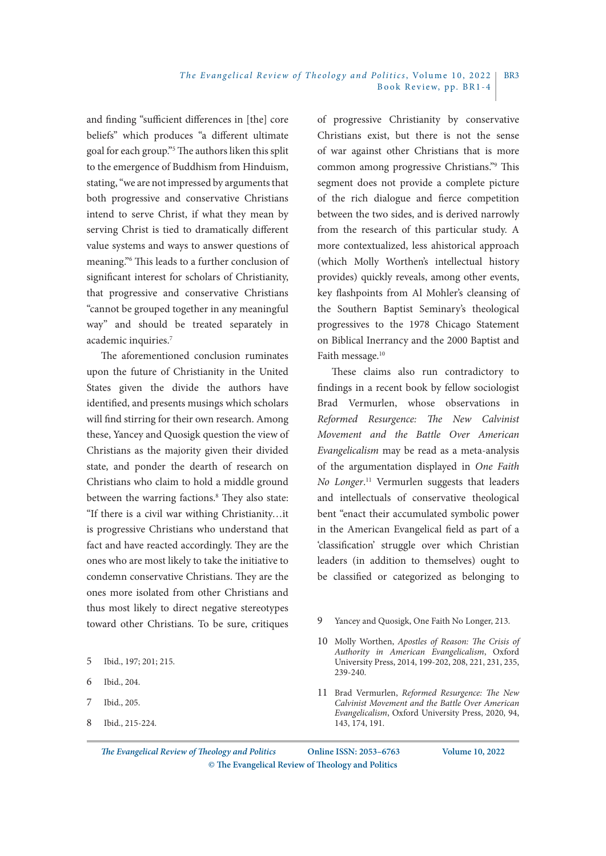## *The Evangelical Review of Theology and Politics*, Volume 10, 2022 Book Review, pp. BR1-4 BR3

and finding "sufficient differences in [the] core beliefs" which produces "a different ultimate goal for each group."5 The authors liken this split to the emergence of Buddhism from Hinduism, stating, "we are not impressed by arguments that both progressive and conservative Christians intend to serve Christ, if what they mean by serving Christ is tied to dramatically different value systems and ways to answer questions of meaning."6 This leads to a further conclusion of significant interest for scholars of Christianity, that progressive and conservative Christians "cannot be grouped together in any meaningful way" and should be treated separately in academic inquiries.<sup>7</sup>

The aforementioned conclusion ruminates upon the future of Christianity in the United States given the divide the authors have identified, and presents musings which scholars will find stirring for their own research. Among these, Yancey and Quosigk question the view of Christians as the majority given their divided state, and ponder the dearth of research on Christians who claim to hold a middle ground between the warring factions.<sup>8</sup> They also state: "If there is a civil war withing Christianity…it is progressive Christians who understand that fact and have reacted accordingly. They are the ones who are most likely to take the initiative to condemn conservative Christians. They are the ones more isolated from other Christians and thus most likely to direct negative stereotypes toward other Christians. To be sure, critiques

- 7 Ibid., 205.
- 8 Ibid., 215-224.

of progressive Christianity by conservative Christians exist, but there is not the sense of war against other Christians that is more common among progressive Christians."9 This segment does not provide a complete picture of the rich dialogue and fierce competition between the two sides, and is derived narrowly from the research of this particular study. A more contextualized, less ahistorical approach (which Molly Worthen's intellectual history provides) quickly reveals, among other events, key flashpoints from Al Mohler's cleansing of the Southern Baptist Seminary's theological progressives to the 1978 Chicago Statement on Biblical Inerrancy and the 2000 Baptist and Faith message.<sup>10</sup>

These claims also run contradictory to findings in a recent book by fellow sociologist Brad Vermurlen, whose observations in *Reformed Resurgence: The New Calvinist Movement and the Battle Over American Evangelicalism* may be read as a meta-analysis of the argumentation displayed in *One Faith No Longer*. 11 Vermurlen suggests that leaders and intellectuals of conservative theological bent "enact their accumulated symbolic power in the American Evangelical field as part of a 'classification' struggle over which Christian leaders (in addition to themselves) ought to be classified or categorized as belonging to

- 9 Yancey and Quosigk, One Faith No Longer, 213.
- 10 Molly Worthen, *Apostles of Reason: The Crisis of Authority in American Evangelicalism*, Oxford University Press, 2014, 199-202, 208, 221, 231, 235, 239-240.
- 11 Brad Vermurlen, *Reformed Resurgence: The New Calvinist Movement and the Battle Over American Evangelicalism*, Oxford University Press, 2020, 94, 143, 174, 191.

*The Evangelical Review of Theology and Politics* **© The Evangelical Review of Theology and Politics Online ISSN: 2053–6763 Volume 10, 2022**

<sup>5</sup> Ibid., 197; 201; 215.

<sup>6</sup> Ibid., 204.